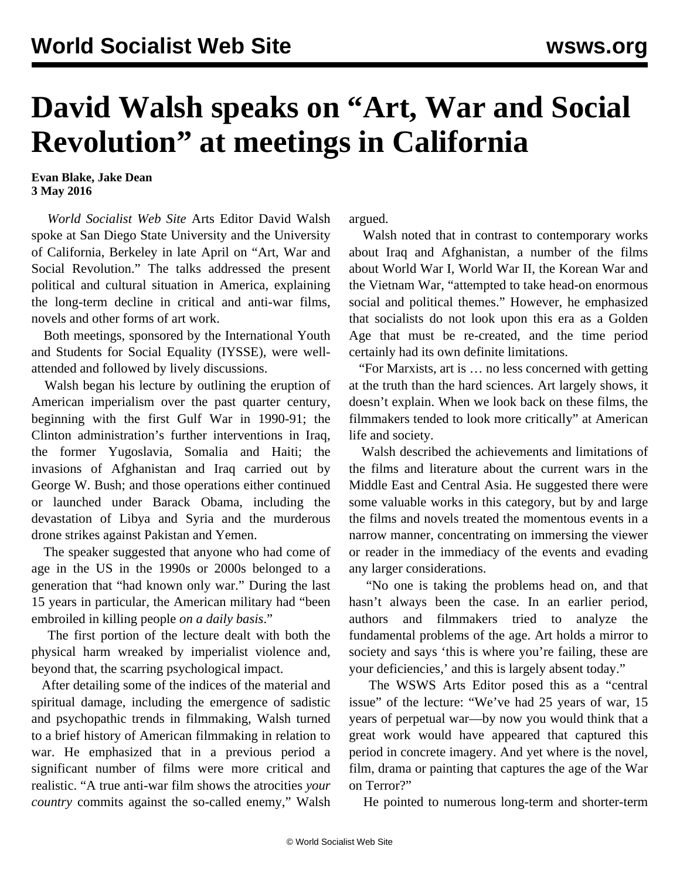## **David Walsh speaks on "Art, War and Social Revolution" at meetings in California**

## **Evan Blake, Jake Dean 3 May 2016**

 *World Socialist Web Site* Arts Editor David Walsh spoke at San Diego State University and the University of California, Berkeley in late April on "Art, War and Social Revolution." The talks addressed the present political and cultural situation in America, explaining the long-term decline in critical and anti-war films, novels and other forms of art work.

 Both meetings, sponsored by the International Youth and Students for Social Equality (IYSSE), were wellattended and followed by lively discussions.

 Walsh began his lecture by outlining the eruption of American imperialism over the past quarter century, beginning with the first Gulf War in 1990-91; the Clinton administration's further interventions in Iraq, the former Yugoslavia, Somalia and Haiti; the invasions of Afghanistan and Iraq carried out by George W. Bush; and those operations either continued or launched under Barack Obama, including the devastation of Libya and Syria and the murderous drone strikes against Pakistan and Yemen.

 The speaker suggested that anyone who had come of age in the US in the 1990s or 2000s belonged to a generation that "had known only war." During the last 15 years in particular, the American military had "been embroiled in killing people *on a daily basis*."

 The first portion of the lecture dealt with both the physical harm wreaked by imperialist violence and, beyond that, the scarring psychological impact.

 After detailing some of the indices of the material and spiritual damage, including the emergence of sadistic and psychopathic trends in filmmaking, Walsh turned to a brief history of American filmmaking in relation to war. He emphasized that in a previous period a significant number of films were more critical and realistic. "A true anti-war film shows the atrocities *your country* commits against the so-called enemy," Walsh

argued.

 Walsh noted that in contrast to contemporary works about Iraq and Afghanistan, a number of the films about World War I, World War II, the Korean War and the Vietnam War, "attempted to take head-on enormous social and political themes." However, he emphasized that socialists do not look upon this era as a Golden Age that must be re-created, and the time period certainly had its own definite limitations.

 "For Marxists, art is … no less concerned with getting at the truth than the hard sciences. Art largely shows, it doesn't explain. When we look back on these films, the filmmakers tended to look more critically" at American life and society.

 Walsh described the achievements and limitations of the films and literature about the current wars in the Middle East and Central Asia. He suggested there were some valuable works in this category, but by and large the films and novels treated the momentous events in a narrow manner, concentrating on immersing the viewer or reader in the immediacy of the events and evading any larger considerations.

 "No one is taking the problems head on, and that hasn't always been the case. In an earlier period, authors and filmmakers tried to analyze the fundamental problems of the age. Art holds a mirror to society and says 'this is where you're failing, these are your deficiencies,' and this is largely absent today."

 The WSWS Arts Editor posed this as a "central issue" of the lecture: "We've had 25 years of war, 15 years of perpetual war—by now you would think that a great work would have appeared that captured this period in concrete imagery. And yet where is the novel, film, drama or painting that captures the age of the War on Terror?"

He pointed to numerous long-term and shorter-term